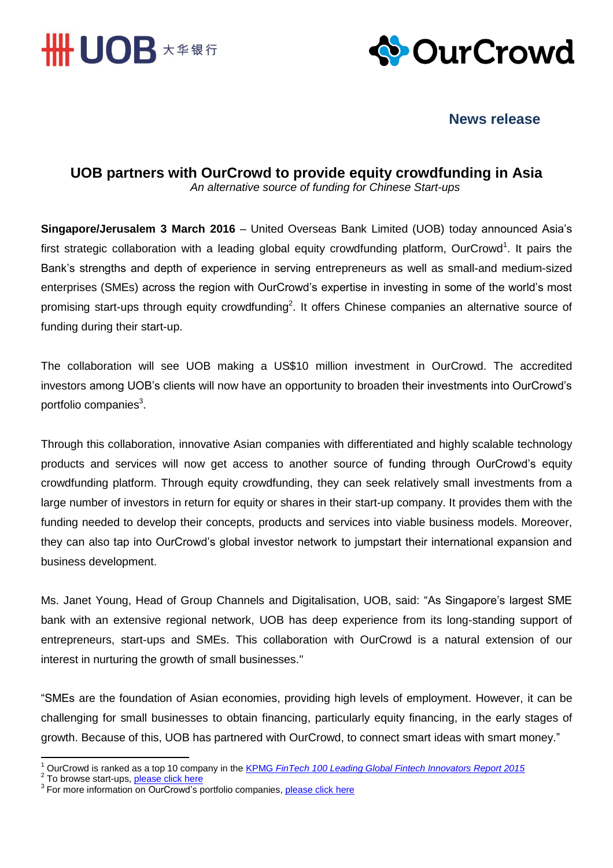



# **News release**

**UOB partners with OurCrowd to provide equity crowdfunding in Asia** *An alternative source of funding for Chinese Start-ups*

**Singapore/Jerusalem 3 March 2016** – United Overseas Bank Limited (UOB) today announced Asia's first strategic collaboration with a leading global equity crowdfunding platform, OurCrowd<sup>1</sup>. It pairs the Bank's strengths and depth of experience in serving entrepreneurs as well as small-and medium-sized enterprises (SMEs) across the region with OurCrowd's expertise in investing in some of the world's most promising start-ups through equity crowdfunding<sup>2</sup>. It offers Chinese companies an alternative source of funding during their start-up.

The collaboration will see UOB making a US\$10 million investment in OurCrowd. The accredited investors among UOB's clients will now have an opportunity to broaden their investments into OurCrowd's portfolio companies<sup>3</sup>.

Through this collaboration, innovative Asian companies with differentiated and highly scalable technology products and services will now get access to another source of funding through OurCrowd's equity crowdfunding platform. Through equity crowdfunding, they can seek relatively small investments from a large number of investors in return for equity or shares in their start-up company. It provides them with the funding needed to develop their concepts, products and services into viable business models. Moreover, they can also tap into OurCrowd's global investor network to jumpstart their international expansion and business development.

Ms. Janet Young, Head of Group Channels and Digitalisation, UOB, said: "As Singapore's largest SME bank with an extensive regional network, UOB has deep experience from its long-standing support of entrepreneurs, start-ups and SMEs. This collaboration with OurCrowd is a natural extension of our interest in nurturing the growth of small businesses."

"SMEs are the foundation of Asian economies, providing high levels of employment. However, it can be challenging for small businesses to obtain financing, particularly equity financing, in the early stages of growth. Because of this, UOB has partnered with OurCrowd, to connect smart ideas with smart money."

 $\overline{\phantom{a}}$ <sup>1</sup> OurCrowd is ranked as a top 10 company in the KPMG *[FinTech 100 Leading Global Fintech Innovators Report 2015](http://fintechinnovators.com/about-list)*

<sup>&</sup>lt;sup>2</sup> To browse start-ups, <u>please click here</u><br><sup>3</sup> For more information on OurCrowd's portfolio companies, <u>please click here</u>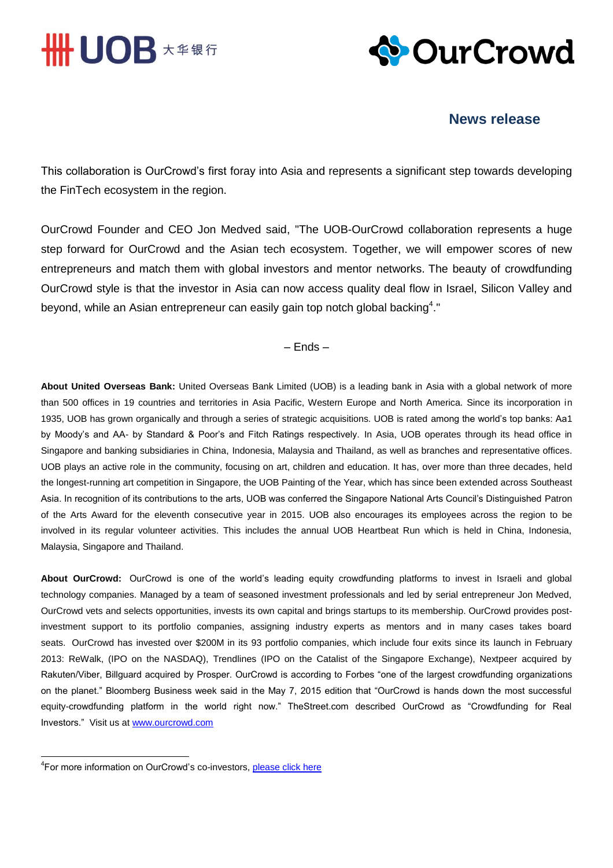



## **News release**

This collaboration is OurCrowd's first foray into Asia and represents a significant step towards developing the FinTech ecosystem in the region.

OurCrowd Founder and CEO Jon Medved said, "The UOB-OurCrowd collaboration represents a huge step forward for OurCrowd and the Asian tech ecosystem. Together, we will empower scores of new entrepreneurs and match them with global investors and mentor networks. The beauty of crowdfunding OurCrowd style is that the investor in Asia can now access quality deal flow in Israel, Silicon Valley and beyond, while an Asian entrepreneur can easily gain top notch global backing<sup>4</sup>."

– Ends –

**About United Overseas Bank:** United Overseas Bank Limited (UOB) is a leading bank in Asia with a global network of more than 500 offices in 19 countries and territories in Asia Pacific, Western Europe and North America. Since its incorporation in 1935, UOB has grown organically and through a series of strategic acquisitions. UOB is rated among the world's top banks: Aa1 by Moody's and AA- by Standard & Poor's and Fitch Ratings respectively. In Asia, UOB operates through its head office in Singapore and banking subsidiaries in China, Indonesia, Malaysia and Thailand, as well as branches and representative offices. UOB plays an active role in the community, focusing on art, children and education. It has, over more than three decades, held the longest-running art competition in Singapore, the UOB Painting of the Year, which has since been extended across Southeast Asia. In recognition of its contributions to the arts, UOB was conferred the Singapore National Arts Council's Distinguished Patron of the Arts Award for the eleventh consecutive year in 2015. UOB also encourages its employees across the region to be involved in its regular volunteer activities. This includes the annual UOB Heartbeat Run which is held in China, Indonesia, Malaysia, Singapore and Thailand.

**About OurCrowd:** OurCrowd is one of the world's leading equity crowdfunding platforms to invest in Israeli and global technology companies. Managed by a team of seasoned investment professionals and led by serial entrepreneur Jon Medved, OurCrowd vets and selects opportunities, invests its own capital and brings startups to its membership. OurCrowd provides postinvestment support to its portfolio companies, assigning industry experts as mentors and in many cases takes board seats. OurCrowd has invested over \$200M in its 93 portfolio companies, which include four exits since its launch in February 2013: ReWalk, (IPO on the NASDAQ), Trendlines (IPO on the Catalist of the Singapore Exchange), Nextpeer acquired by Rakuten/Viber, Billguard acquired by Prosper. OurCrowd is according to Forbes "one of the largest crowdfunding organizations on the planet." Bloomberg Business week said in the May 7, 2015 edition that "OurCrowd is hands down the most successful equity-crowdfunding platform in the world right now." TheStreet.com described OurCrowd as "Crowdfunding for Real Investors." Visit us at [www.ourcrowd.com](http://www.ourcrowd.com/)

<u>.</u>

<sup>&</sup>lt;sup>4</sup>For more information on OurCrowd's co-investors, **please click here**